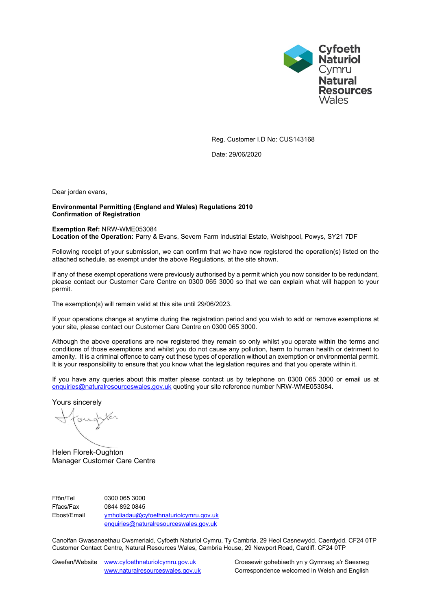

Reg. Customer I.D No: CUS143168

Date: 29/06/2020

Dear jordan evans,

### **Environmental Permitting (England and Wales) Regulations 2010 Confirmation of Registration**

# **Exemption Ref:** NRW-WME053084

**Location of the Operation:** Parry & Evans, Severn Farm Industrial Estate, Welshpool, Powys, SY21 7DF

Following receipt of your submission, we can confirm that we have now registered the operation(s) listed on the attached schedule, as exempt under the above Regulations, at the site shown.

If any of these exempt operations were previously authorised by a permit which you now consider to be redundant, please contact our Customer Care Centre on 0300 065 3000 so that we can explain what will happen to your permit.

The exemption(s) will remain valid at this site until 29/06/2023.

If your operations change at anytime during the registration period and you wish to add or remove exemptions at your site, please contact our Customer Care Centre on 0300 065 3000.

Although the above operations are now registered they remain so only whilst you operate within the terms and conditions of those exemptions and whilst you do not cause any pollution, harm to human health or detriment to amenity. It is a criminal offence to carry out these types of operation without an exemption or environmental permit. It is your responsibility to ensure that you know what the legislation requires and that you operate within it.

If you have any queries about this matter please contact us by telephone on 0300 065 3000 or email us at [enquiries@naturalresourceswales.gov.uk](mailto:enquiries@naturalresourceswales.gov.uk) quoting your site reference number NRW-WME053084.

Yours sincerely

oug

Helen Florek-Oughton Manager Customer Care Centre

Ffôn/Tel 0300 065 3000 Ffacs/Fax 0844 892 0845 Ebost/Email [ymholiadau@cyfoethnaturiolcymru.gov.uk](mailto:ymholiadau@cyfoethnaturiolcymru.gov.uk) [enquiries@naturalresourceswales.gov.uk](mailto:enquiries@naturalresourceswales.gov.uk)

Canolfan Gwasanaethau Cwsmeriaid, Cyfoeth Naturiol Cymru, Ty Cambria, 29 Heol Casnewydd, Caerdydd. CF24 0TP Customer Contact Centre, Natural Resources Wales, Cambria House, 29 Newport Road, Cardiff. CF24 0TP

Gwefan/Website [www.cyfoethnaturiolcymru.gov.uk](file:///C:/Users/dcarpenter/AppData/Local/Microsoft/Windows/Temporary%20Internet%20Files/Content.Outlook/WZAC8E91/www.cyfoethnaturiolcymru.gov.uk) Croesewir gohebiaeth yn y Gymraeg a'r Saesneg

[www.naturalresourceswales.gov.uk](file:///C:/Users/dcarpenter/AppData/Local/Microsoft/Windows/Temporary%20Internet%20Files/Content.Outlook/WZAC8E91/www.naturalresourceswales.gov.uk) Correspondence welcomed in Welsh and English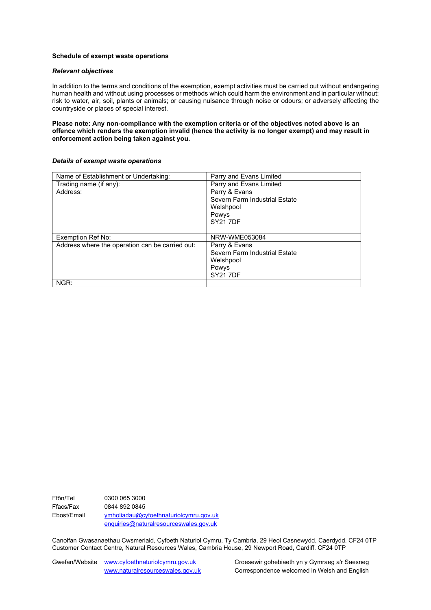#### **Schedule of exempt waste operations**

#### *Relevant objectives*

In addition to the terms and conditions of the exemption, exempt activities must be carried out without endangering human health and without using processes or methods which could harm the environment and in particular without: risk to water, air, soil, plants or animals; or causing nuisance through noise or odours; or adversely affecting the countryside or places of special interest.

**Please note: Any non-compliance with the exemption criteria or of the objectives noted above is an offence which renders the exemption invalid (hence the activity is no longer exempt) and may result in enforcement action being taken against you.**

#### *Details of exempt waste operations*

| Name of Establishment or Undertaking:           | Parry and Evans Limited       |
|-------------------------------------------------|-------------------------------|
| Trading name (if any):                          | Parry and Evans Limited       |
| Address:                                        | Parry & Evans                 |
|                                                 | Severn Farm Industrial Estate |
|                                                 | Welshpool                     |
|                                                 | Powys                         |
|                                                 | <b>SY21 7DF</b>               |
|                                                 |                               |
| Exemption Ref No:                               | NRW-WME053084                 |
| Address where the operation can be carried out: | Parry & Evans                 |
|                                                 | Severn Farm Industrial Estate |
|                                                 | Welshpool                     |
|                                                 | Powys                         |
|                                                 | <b>SY217DF</b>                |
| NGR:                                            |                               |

Ffôn/Tel 0300 065 3000 Ffacs/Fax 0844 892 0845 Ebost/Email [ymholiadau@cyfoethnaturiolcymru.gov.uk](mailto:ymholiadau@cyfoethnaturiolcymru.gov.uk) [enquiries@naturalresourceswales.gov.uk](mailto:enquiries@naturalresourceswales.gov.uk)

Canolfan Gwasanaethau Cwsmeriaid, Cyfoeth Naturiol Cymru, Ty Cambria, 29 Heol Casnewydd, Caerdydd. CF24 0TP Customer Contact Centre, Natural Resources Wales, Cambria House, 29 Newport Road, Cardiff. CF24 0TP

Gwefan/Website [www.cyfoethnaturiolcymru.gov.uk](file:///C:/Users/dcarpenter/AppData/Local/Microsoft/Windows/Temporary%20Internet%20Files/Content.Outlook/WZAC8E91/www.cyfoethnaturiolcymru.gov.uk) Croesewir gohebiaeth yn y Gymraeg a'r Saesneg

[www.naturalresourceswales.gov.uk](file:///C:/Users/dcarpenter/AppData/Local/Microsoft/Windows/Temporary%20Internet%20Files/Content.Outlook/WZAC8E91/www.naturalresourceswales.gov.uk) Correspondence welcomed in Welsh and English